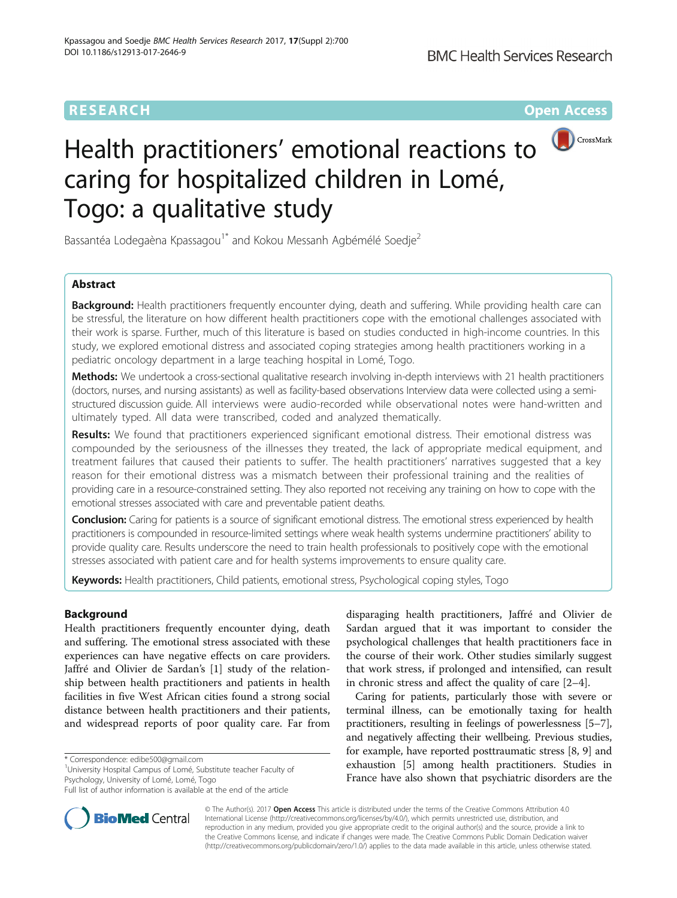# **RESEARCH CHINESE ARCH CHINESE ARCHITECT ARCHITECT ARCHITECT ARCHITECT ARCHITECT ARCHITECT ARCHITECT ARCHITECT ARCHITECT ARCHITECT ARCHITECT ARCHITECT ARCHITECT ARCHITECT ARCHITECT ARCHITECT ARCHITECT ARCHITECT ARCHITE**



# Health practitioners' emotional reactions to caring for hospitalized children in Lomé, Togo: a qualitative study

Bassantéa Lodegaèna Kpassagou<sup>1\*</sup> and Kokou Messanh Agbémélé Soedje<sup>2</sup>

# Abstract

Background: Health practitioners frequently encounter dying, death and suffering. While providing health care can be stressful, the literature on how different health practitioners cope with the emotional challenges associated with their work is sparse. Further, much of this literature is based on studies conducted in high-income countries. In this study, we explored emotional distress and associated coping strategies among health practitioners working in a pediatric oncology department in a large teaching hospital in Lomé, Togo.

Methods: We undertook a cross-sectional qualitative research involving in-depth interviews with 21 health practitioners (doctors, nurses, and nursing assistants) as well as facility-based observations Interview data were collected using a semistructured discussion guide. All interviews were audio-recorded while observational notes were hand-written and ultimately typed. All data were transcribed, coded and analyzed thematically.

Results: We found that practitioners experienced significant emotional distress. Their emotional distress was compounded by the seriousness of the illnesses they treated, the lack of appropriate medical equipment, and treatment failures that caused their patients to suffer. The health practitioners' narratives suggested that a key reason for their emotional distress was a mismatch between their professional training and the realities of providing care in a resource-constrained setting. They also reported not receiving any training on how to cope with the emotional stresses associated with care and preventable patient deaths.

Conclusion: Caring for patients is a source of significant emotional distress. The emotional stress experienced by health practitioners is compounded in resource-limited settings where weak health systems undermine practitioners' ability to provide quality care. Results underscore the need to train health professionals to positively cope with the emotional stresses associated with patient care and for health systems improvements to ensure quality care.

Keywords: Health practitioners, Child patients, emotional stress, Psychological coping styles, Togo

# Background

Health practitioners frequently encounter dying, death and suffering. The emotional stress associated with these experiences can have negative effects on care providers. Jaffré and Olivier de Sardan's [[1\]](#page-4-0) study of the relationship between health practitioners and patients in health facilities in five West African cities found a strong social distance between health practitioners and their patients, and widespread reports of poor quality care. Far from

\* Correspondence: [edibe500@gmail.com](mailto:edibe500@gmail.com) <sup>1</sup>

<sup>1</sup>University Hospital Campus of Lomé, Substitute teacher Faculty of Psychology, University of Lomé, Lomé, Togo



Caring for patients, particularly those with severe or terminal illness, can be emotionally taxing for health practitioners, resulting in feelings of powerlessness [[5](#page-4-0)–[7](#page-4-0)], and negatively affecting their wellbeing. Previous studies, for example, have reported posttraumatic stress [[8, 9\]](#page-4-0) and exhaustion [[5](#page-4-0)] among health practitioners. Studies in France have also shown that psychiatric disorders are the



© The Author(s). 2017 **Open Access** This article is distributed under the terms of the Creative Commons Attribution 4.0 International License [\(http://creativecommons.org/licenses/by/4.0/](http://creativecommons.org/licenses/by/4.0/)), which permits unrestricted use, distribution, and reproduction in any medium, provided you give appropriate credit to the original author(s) and the source, provide a link to the Creative Commons license, and indicate if changes were made. The Creative Commons Public Domain Dedication waiver [\(http://creativecommons.org/publicdomain/zero/1.0/](http://creativecommons.org/publicdomain/zero/1.0/)) applies to the data made available in this article, unless otherwise stated.

Full list of author information is available at the end of the article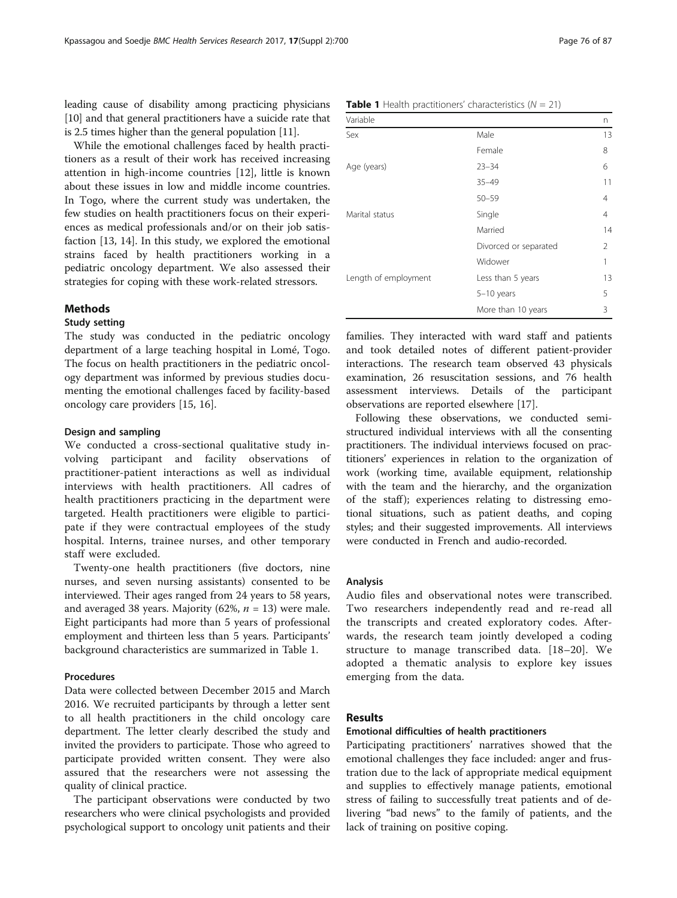leading cause of disability among practicing physicians [[10](#page-4-0)] and that general practitioners have a suicide rate that is 2.5 times higher than the general population [[11](#page-4-0)].

While the emotional challenges faced by health practitioners as a result of their work has received increasing attention in high-income countries [[12](#page-4-0)], little is known about these issues in low and middle income countries. In Togo, where the current study was undertaken, the few studies on health practitioners focus on their experiences as medical professionals and/or on their job satisfaction [[13, 14\]](#page-4-0). In this study, we explored the emotional strains faced by health practitioners working in a pediatric oncology department. We also assessed their strategies for coping with these work-related stressors.

# Methods

# Study setting

The study was conducted in the pediatric oncology department of a large teaching hospital in Lomé, Togo. The focus on health practitioners in the pediatric oncology department was informed by previous studies documenting the emotional challenges faced by facility-based oncology care providers [\[15](#page-4-0), [16](#page-4-0)].

## Design and sampling

We conducted a cross-sectional qualitative study involving participant and facility observations of practitioner-patient interactions as well as individual interviews with health practitioners. All cadres of health practitioners practicing in the department were targeted. Health practitioners were eligible to participate if they were contractual employees of the study hospital. Interns, trainee nurses, and other temporary staff were excluded.

Twenty-one health practitioners (five doctors, nine nurses, and seven nursing assistants) consented to be interviewed. Their ages ranged from 24 years to 58 years, and averaged 38 years. Majority (62%,  $n = 13$ ) were male. Eight participants had more than 5 years of professional employment and thirteen less than 5 years. Participants' background characteristics are summarized in Table 1.

# Procedures

Data were collected between December 2015 and March 2016. We recruited participants by through a letter sent to all health practitioners in the child oncology care department. The letter clearly described the study and invited the providers to participate. Those who agreed to participate provided written consent. They were also assured that the researchers were not assessing the quality of clinical practice.

The participant observations were conducted by two researchers who were clinical psychologists and provided psychological support to oncology unit patients and their

|  |  |  | <b>Table 1</b> Health practitioners' characteristics $(N = 21)$ |  |
|--|--|--|-----------------------------------------------------------------|--|
|--|--|--|-----------------------------------------------------------------|--|

| Variable             |                       | n  |
|----------------------|-----------------------|----|
| Sex                  | Male                  | 13 |
|                      | Female                | 8  |
| Age (years)          | $23 - 34$             | 6  |
|                      | $35 - 49$             | 11 |
|                      | $50 - 59$             | 4  |
| Marital status       | Single                | 4  |
|                      | Married               | 14 |
|                      | Divorced or separated | 2  |
|                      | Widower               | 1  |
| Length of employment | Less than 5 years     | 13 |
|                      | $5-10$ years          | 5  |
|                      | More than 10 years    | 3  |

families. They interacted with ward staff and patients and took detailed notes of different patient-provider interactions. The research team observed 43 physicals examination, 26 resuscitation sessions, and 76 health assessment interviews. Details of the participant observations are reported elsewhere [\[17\]](#page-4-0).

Following these observations, we conducted semistructured individual interviews with all the consenting practitioners. The individual interviews focused on practitioners' experiences in relation to the organization of work (working time, available equipment, relationship with the team and the hierarchy, and the organization of the staff); experiences relating to distressing emotional situations, such as patient deaths, and coping styles; and their suggested improvements. All interviews were conducted in French and audio-recorded.

# Analysis

Audio files and observational notes were transcribed. Two researchers independently read and re-read all the transcripts and created exploratory codes. Afterwards, the research team jointly developed a coding structure to manage transcribed data. [[18](#page-4-0)–[20](#page-4-0)]. We adopted a thematic analysis to explore key issues emerging from the data.

# Results

#### Emotional difficulties of health practitioners

Participating practitioners' narratives showed that the emotional challenges they face included: anger and frustration due to the lack of appropriate medical equipment and supplies to effectively manage patients, emotional stress of failing to successfully treat patients and of delivering "bad news" to the family of patients, and the lack of training on positive coping.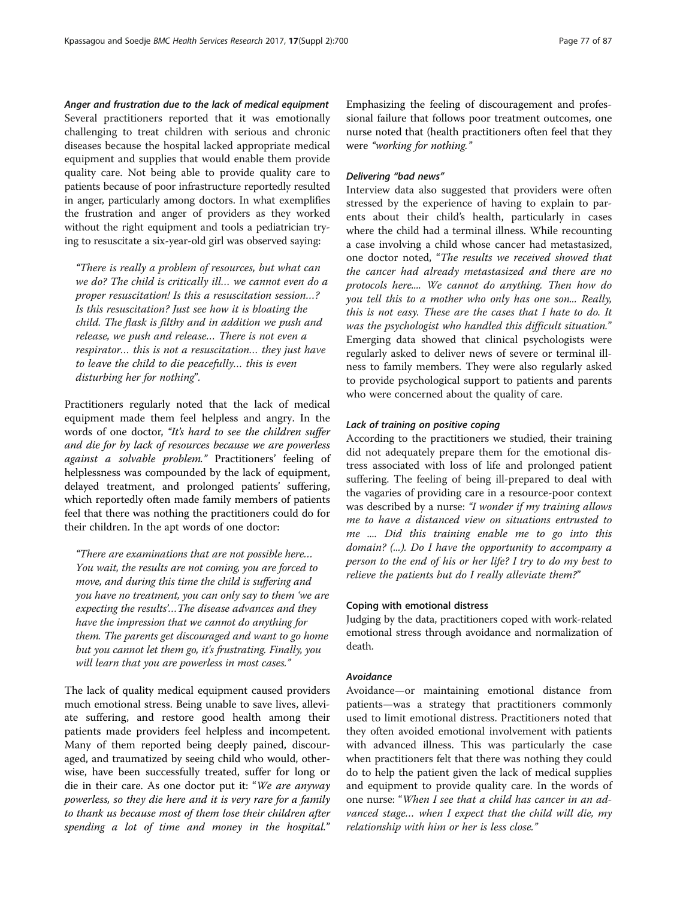Anger and frustration due to the lack of medical equipment Several practitioners reported that it was emotionally challenging to treat children with serious and chronic diseases because the hospital lacked appropriate medical equipment and supplies that would enable them provide quality care. Not being able to provide quality care to patients because of poor infrastructure reportedly resulted in anger, particularly among doctors. In what exemplifies the frustration and anger of providers as they worked without the right equipment and tools a pediatrician trying to resuscitate a six-year-old girl was observed saying:

"There is really a problem of resources, but what can we do? The child is critically ill… we cannot even do a proper resuscitation! Is this a resuscitation session…? Is this resuscitation? Just see how it is bloating the child. The flask is filthy and in addition we push and release, we push and release… There is not even a respirator… this is not a resuscitation… they just have to leave the child to die peacefully… this is even disturbing her for nothing".

Practitioners regularly noted that the lack of medical equipment made them feel helpless and angry. In the words of one doctor, "It's hard to see the children suffer and die for by lack of resources because we are powerless against a solvable problem." Practitioners' feeling of helplessness was compounded by the lack of equipment, delayed treatment, and prolonged patients' suffering, which reportedly often made family members of patients feel that there was nothing the practitioners could do for their children. In the apt words of one doctor:

"There are examinations that are not possible here… You wait, the results are not coming, you are forced to move, and during this time the child is suffering and you have no treatment, you can only say to them 'we are expecting the results'…The disease advances and they have the impression that we cannot do anything for them. The parents get discouraged and want to go home but you cannot let them go, it's frustrating. Finally, you will learn that you are powerless in most cases."

The lack of quality medical equipment caused providers much emotional stress. Being unable to save lives, alleviate suffering, and restore good health among their patients made providers feel helpless and incompetent. Many of them reported being deeply pained, discouraged, and traumatized by seeing child who would, otherwise, have been successfully treated, suffer for long or die in their care. As one doctor put it: "We are anyway powerless, so they die here and it is very rare for a family to thank us because most of them lose their children after spending a lot of time and money in the hospital."

Emphasizing the feeling of discouragement and professional failure that follows poor treatment outcomes, one nurse noted that (health practitioners often feel that they were "working for nothing."

## Delivering "bad news"

Interview data also suggested that providers were often stressed by the experience of having to explain to parents about their child's health, particularly in cases where the child had a terminal illness. While recounting a case involving a child whose cancer had metastasized, one doctor noted, "The results we received showed that the cancer had already metastasized and there are no protocols here.... We cannot do anything. Then how do you tell this to a mother who only has one son... Really, this is not easy. These are the cases that I hate to do. It was the psychologist who handled this difficult situation." Emerging data showed that clinical psychologists were regularly asked to deliver news of severe or terminal illness to family members. They were also regularly asked to provide psychological support to patients and parents who were concerned about the quality of care.

## Lack of training on positive coping

According to the practitioners we studied, their training did not adequately prepare them for the emotional distress associated with loss of life and prolonged patient suffering. The feeling of being ill-prepared to deal with the vagaries of providing care in a resource-poor context was described by a nurse: "I wonder if my training allows me to have a distanced view on situations entrusted to me .... Did this training enable me to go into this domain? (...). Do I have the opportunity to accompany a person to the end of his or her life? I try to do my best to relieve the patients but do I really alleviate them?"

# Coping with emotional distress

Judging by the data, practitioners coped with work-related emotional stress through avoidance and normalization of death.

# Avoidance

Avoidance—or maintaining emotional distance from patients—was a strategy that practitioners commonly used to limit emotional distress. Practitioners noted that they often avoided emotional involvement with patients with advanced illness. This was particularly the case when practitioners felt that there was nothing they could do to help the patient given the lack of medical supplies and equipment to provide quality care. In the words of one nurse: "When I see that a child has cancer in an advanced stage… when I expect that the child will die, my relationship with him or her is less close."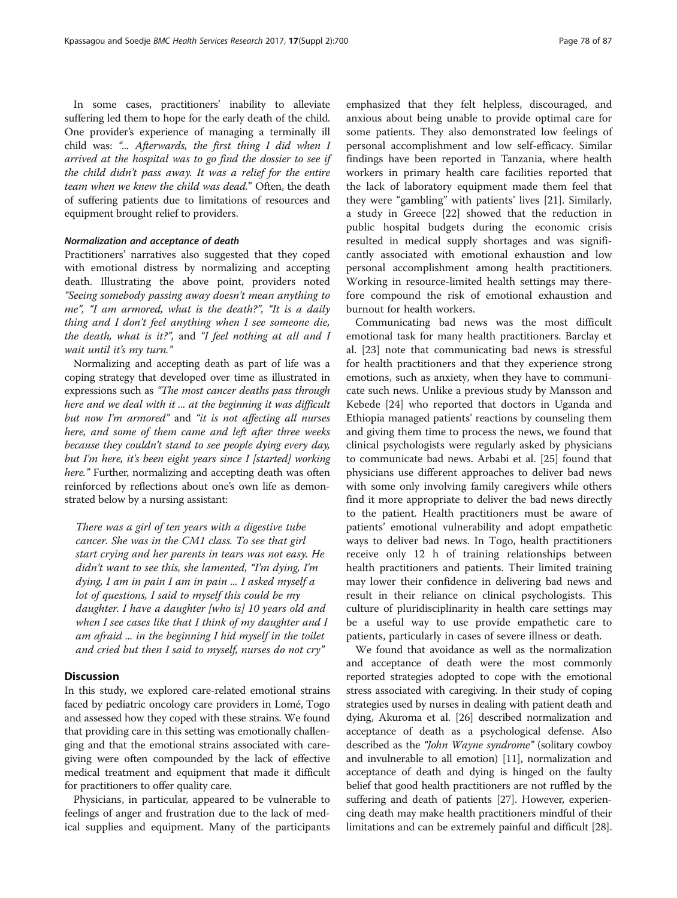In some cases, practitioners' inability to alleviate suffering led them to hope for the early death of the child. One provider's experience of managing a terminally ill child was: "... Afterwards, the first thing I did when I arrived at the hospital was to go find the dossier to see if the child didn't pass away. It was a relief for the entire team when we knew the child was dead." Often, the death of suffering patients due to limitations of resources and equipment brought relief to providers.

## Normalization and acceptance of death

Practitioners' narratives also suggested that they coped with emotional distress by normalizing and accepting death. Illustrating the above point, providers noted "Seeing somebody passing away doesn't mean anything to me", "I am armored, what is the death?", "It is a daily thing and I don't feel anything when I see someone die, the death, what is it?", and "I feel nothing at all and I wait until it's my turn."

Normalizing and accepting death as part of life was a coping strategy that developed over time as illustrated in expressions such as "The most cancer deaths pass through here and we deal with it ... at the beginning it was difficult but now I'm armored" and "it is not affecting all nurses here, and some of them came and left after three weeks because they couldn't stand to see people dying every day, but I'm here, it's been eight years since I [started] working here." Further, normalizing and accepting death was often reinforced by reflections about one's own life as demonstrated below by a nursing assistant:

There was a girl of ten years with a digestive tube cancer. She was in the CM1 class. To see that girl start crying and her parents in tears was not easy. He didn't want to see this, she lamented, "I'm dying, I'm dying, I am in pain I am in pain ... I asked myself a lot of questions, I said to myself this could be my daughter. I have a daughter [who is] 10 years old and when I see cases like that I think of my daughter and I am afraid ... in the beginning I hid myself in the toilet and cried but then I said to myself, nurses do not cry"

# **Discussion**

In this study, we explored care-related emotional strains faced by pediatric oncology care providers in Lomé, Togo and assessed how they coped with these strains. We found that providing care in this setting was emotionally challenging and that the emotional strains associated with caregiving were often compounded by the lack of effective medical treatment and equipment that made it difficult for practitioners to offer quality care.

Physicians, in particular, appeared to be vulnerable to feelings of anger and frustration due to the lack of medical supplies and equipment. Many of the participants

emphasized that they felt helpless, discouraged, and anxious about being unable to provide optimal care for some patients. They also demonstrated low feelings of personal accomplishment and low self-efficacy. Similar findings have been reported in Tanzania, where health workers in primary health care facilities reported that the lack of laboratory equipment made them feel that they were "gambling" with patients' lives [[21](#page-4-0)]. Similarly, a study in Greece [\[22\]](#page-4-0) showed that the reduction in public hospital budgets during the economic crisis resulted in medical supply shortages and was significantly associated with emotional exhaustion and low personal accomplishment among health practitioners. Working in resource-limited health settings may therefore compound the risk of emotional exhaustion and burnout for health workers.

Communicating bad news was the most difficult emotional task for many health practitioners. Barclay et al. [\[23](#page-4-0)] note that communicating bad news is stressful for health practitioners and that they experience strong emotions, such as anxiety, when they have to communicate such news. Unlike a previous study by Mansson and Kebede [\[24](#page-4-0)] who reported that doctors in Uganda and Ethiopia managed patients' reactions by counseling them and giving them time to process the news, we found that clinical psychologists were regularly asked by physicians to communicate bad news. Arbabi et al. [\[25](#page-5-0)] found that physicians use different approaches to deliver bad news with some only involving family caregivers while others find it more appropriate to deliver the bad news directly to the patient. Health practitioners must be aware of patients' emotional vulnerability and adopt empathetic ways to deliver bad news. In Togo, health practitioners receive only 12 h of training relationships between health practitioners and patients. Their limited training may lower their confidence in delivering bad news and result in their reliance on clinical psychologists. This culture of pluridisciplinarity in health care settings may be a useful way to use provide empathetic care to patients, particularly in cases of severe illness or death.

We found that avoidance as well as the normalization and acceptance of death were the most commonly reported strategies adopted to cope with the emotional stress associated with caregiving. In their study of coping strategies used by nurses in dealing with patient death and dying, Akuroma et al. [[26\]](#page-5-0) described normalization and acceptance of death as a psychological defense. Also described as the "John Wayne syndrome" (solitary cowboy and invulnerable to all emotion) [\[11\]](#page-4-0), normalization and acceptance of death and dying is hinged on the faulty belief that good health practitioners are not ruffled by the suffering and death of patients [\[27\]](#page-5-0). However, experiencing death may make health practitioners mindful of their limitations and can be extremely painful and difficult [[28](#page-5-0)].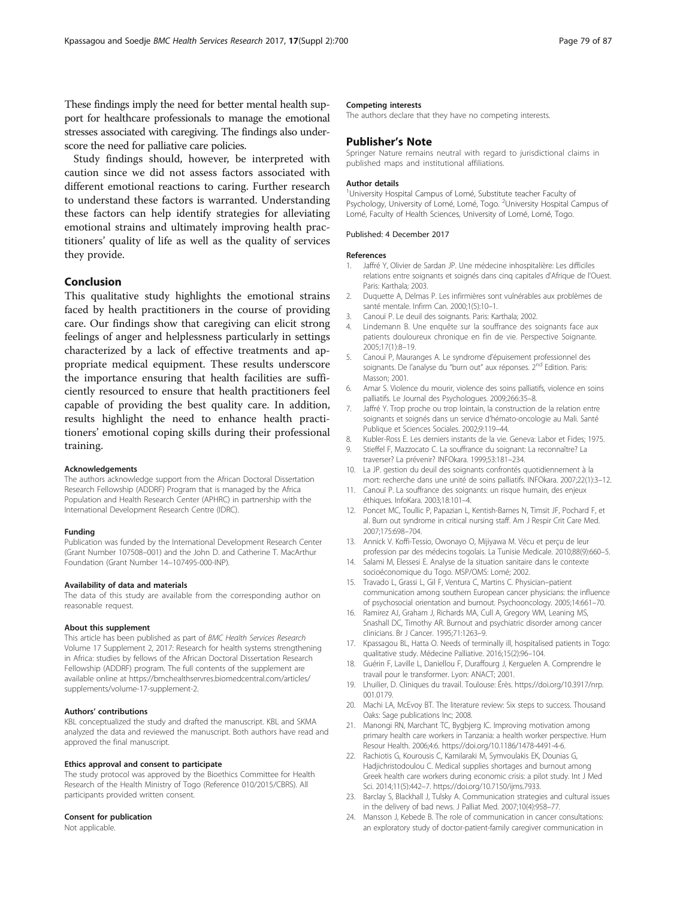<span id="page-4-0"></span>These findings imply the need for better mental health support for healthcare professionals to manage the emotional stresses associated with caregiving. The findings also underscore the need for palliative care policies.

Study findings should, however, be interpreted with caution since we did not assess factors associated with different emotional reactions to caring. Further research to understand these factors is warranted. Understanding these factors can help identify strategies for alleviating emotional strains and ultimately improving health practitioners' quality of life as well as the quality of services they provide.

# Conclusion

This qualitative study highlights the emotional strains faced by health practitioners in the course of providing care. Our findings show that caregiving can elicit strong feelings of anger and helplessness particularly in settings characterized by a lack of effective treatments and appropriate medical equipment. These results underscore the importance ensuring that health facilities are sufficiently resourced to ensure that health practitioners feel capable of providing the best quality care. In addition, results highlight the need to enhance health practitioners' emotional coping skills during their professional training.

#### Acknowledgements

The authors acknowledge support from the African Doctoral Dissertation Research Fellowship (ADDRF) Program that is managed by the Africa Population and Health Research Center (APHRC) in partnership with the International Development Research Centre (IDRC).

#### Funding

Publication was funded by the International Development Research Center (Grant Number 107508–001) and the John D. and Catherine T. MacArthur Foundation (Grant Number 14–107495-000-INP).

#### Availability of data and materials

The data of this study are available from the corresponding author on reasonable request.

#### About this supplement

This article has been published as part of BMC Health Services Research Volume 17 Supplement 2, 2017: Research for health systems strengthening in Africa: studies by fellows of the African Doctoral Dissertation Research Fellowship (ADDRF) program. The full contents of the supplement are available online at [https://bmchealthservres.biomedcentral.com/articles/](https://bmchealthservres.biomedcentral.com/articles/supplements/volume-17-supplement-2) [supplements/volume-17-supplement-2.](https://bmchealthservres.biomedcentral.com/articles/supplements/volume-17-supplement-2)

#### Authors' contributions

KBL conceptualized the study and drafted the manuscript. KBL and SKMA analyzed the data and reviewed the manuscript. Both authors have read and approved the final manuscript.

#### Ethics approval and consent to participate

The study protocol was approved by the Bioethics Committee for Health Research of the Health Ministry of Togo (Reference 010/2015/CBRS). All participants provided written consent.

# Consent for publication

Not applicable.

#### Competing interests

The authors declare that they have no competing interests.

# Publisher's Note

Springer Nature remains neutral with regard to jurisdictional claims in published maps and institutional affiliations.

#### Author details

<sup>1</sup>University Hospital Campus of Lomé, Substitute teacher Faculty of Psychology, University of Lomé, Lomé, Togo. <sup>2</sup>University Hospital Campus of Lomé, Faculty of Health Sciences, University of Lomé, Lomé, Togo.

#### Published: 4 December 2017

#### References

- 1. Jaffré Y, Olivier de Sardan JP. Une médecine inhospitalière: Les difficiles relations entre soignants et soignés dans cinq capitales d'Afrique de l'Ouest. Paris: Karthala; 2003.
- 2. Duquette A, Delmas P. Les infirmières sont vulnérables aux problèmes de santé mentale. Infirm Can. 2000;1(5):10–1.
- 3. Canouï P. Le deuil des soignants. Paris: Karthala; 2002.
- 4. Lindemann B. Une enquête sur la souffrance des soignants face aux patients douloureux chronique en fin de vie. Perspective Soignante. 2005;17(1):8–19.
- 5. Canouï P, Mauranges A. Le syndrome d'épuisement professionnel des soignants. De l'analyse du "burn out" aux réponses. 2<sup>nd</sup> Edition. Paris: Masson; 2001.
- Amar S. Violence du mourir, violence des soins palliatifs, violence en soins palliatifs. Le Journal des Psychologues. 2009;266:35–8.
- 7. Jaffré Y. Trop proche ou trop lointain, la construction de la relation entre soignants et soignés dans un service d'hémato-oncologie au Mali. Santé Publique et Sciences Sociales. 2002;9:119–44.
- 8. Kubler-Ross E. Les derniers instants de la vie. Geneva: Labor et Fides; 1975.
- 9. Stieffel F, Mazzocato C. La souffrance du soignant: La reconnaître? La traverser? La prévenir? INFOkara. 1999;53:181–234.
- 10. La JP. gestion du deuil des soignants confrontés quotidiennement à la mort: recherche dans une unité de soins palliatifs. INFOkara. 2007;22(1):3–12.
- 11. Canouï P. La souffrance des soignants: un risque humain, des enjeux éthiques. InfoKara. 2003;18:101–4.
- 12. Poncet MC, Toullic P, Papazian L, Kentish-Barnes N, Timsit JF, Pochard F, et al. Burn out syndrome in critical nursing staff. Am J Respir Crit Care Med. 2007;175:698–704.
- 13. Annick V. Koffi-Tessio, Owonayo O, Mijiyawa M. Vécu et perçu de leur profession par des médecins togolais. La Tunisie Medicale. 2010;88(9):660–5.
- 14. Salami M, Elessesi E. Analyse de la situation sanitaire dans le contexte socioéconomique du Togo. MSP/OMS: Lomé; 2002.
- 15. Travado L, Grassi L, Gil F, Ventura C, Martins C. Physician–patient communication among southern European cancer physicians: the influence of psychosocial orientation and burnout. Psychooncology. 2005;14:661–70.
- 16. Ramirez AJ, Graham J, Richards MA, Cull A, Gregory WM, Leaning MS, Snashall DC, Timothy AR. Burnout and psychiatric disorder among cancer clinicians. Br J Cancer. 1995;71:1263–9.
- 17. Kpassagou BL, Hatta O. Needs of terminally ill, hospitalised patients in Togo: qualitative study. Médecine Palliative. 2016;15(2):96–104.
- 18. Guérin F, Laville L, Daniellou F, Duraffourg J, Kerguelen A. Comprendre le travail pour le transformer. Lyon: ANACT; 2001.
- 19. Lhuilier, D. Cliniques du travail. Toulouse: Érès. [https://doi.org/10.3917/nrp.](https://doi.org/10.3917/nrp.001.0179) [001.0179.](https://doi.org/10.3917/nrp.001.0179)
- 20. Machi LA, McEvoy BT. The literature review: Six steps to success. Thousand Oaks: Sage publications Inc; 2008.
- 21. Manongi RN, Marchant TC, Bygbjerg IC. Improving motivation among primary health care workers in Tanzania: a health worker perspective. Hum Resour Health. 2006;4:6. [https://doi.org/10.1186/1478-4491-4-6.](https://doi.org/10.1186/1478-4491-4-6)
- 22. Rachiotis G, Kourousis C, Kamilaraki M, Symvoulakis EK, Dounias G, Hadjichristodoulou C. Medical supplies shortages and burnout among Greek health care workers during economic crisis: a pilot study. Int J Med Sci. 2014;11(5):442–7. [https://doi.org/10.7150/ijms.7933.](https://doi.org/10.7150/ijms.7933)
- 23. Barclay S, Blackhall J, Tulsky A. Communication strategies and cultural issues in the delivery of bad news. J Palliat Med. 2007;10(4):958–77.
- 24. Mansson J, Kebede B. The role of communication in cancer consultations: an exploratory study of doctor-patient-family caregiver communication in